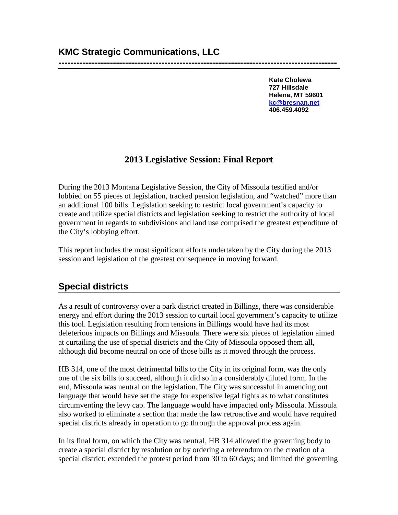**--------------------------------------------------------------------------------------------**

**Kate Cholewa 727 Hillsdale Helena, MT 59601 [kc@bresnan.net](mailto:kc@bresnan.net) 406.459.4092**

### **2013 Legislative Session: Final Report**

During the 2013 Montana Legislative Session, the City of Missoula testified and/or lobbied on 55 pieces of legislation, tracked pension legislation, and "watched" more than an additional 100 bills. Legislation seeking to restrict local government's capacity to create and utilize special districts and legislation seeking to restrict the authority of local government in regards to subdivisions and land use comprised the greatest expenditure of the City's lobbying effort.

This report includes the most significant efforts undertaken by the City during the 2013 session and legislation of the greatest consequence in moving forward.

# **Special districts**

As a result of controversy over a park district created in Billings, there was considerable energy and effort during the 2013 session to curtail local government's capacity to utilize this tool. Legislation resulting from tensions in Billings would have had its most deleterious impacts on Billings and Missoula. There were six pieces of legislation aimed at curtailing the use of special districts and the City of Missoula opposed them all, although did become neutral on one of those bills as it moved through the process.

HB 314, one of the most detrimental bills to the City in its original form, was the only one of the six bills to succeed, although it did so in a considerably diluted form. In the end, Missoula was neutral on the legislation. The City was successful in amending out language that would have set the stage for expensive legal fights as to what constitutes circumventing the levy cap. The language would have impacted only Missoula. Missoula also worked to eliminate a section that made the law retroactive and would have required special districts already in operation to go through the approval process again.

In its final form, on which the City was neutral, HB 314 allowed the governing body to create a special district by resolution or by ordering a referendum on the creation of a special district; extended the protest period from 30 to 60 days; and limited the governing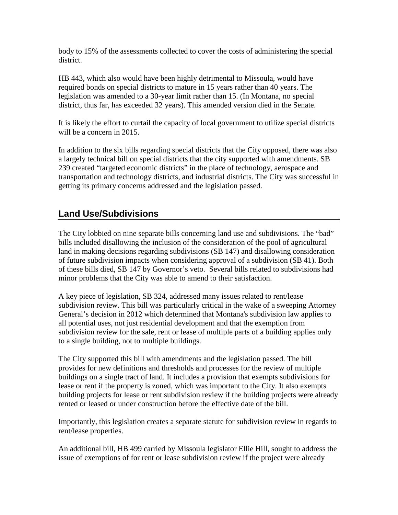body to 15% of the assessments collected to cover the costs of administering the special district.

HB 443, which also would have been highly detrimental to Missoula, would have required bonds on special districts to mature in 15 years rather than 40 years. The legislation was amended to a 30-year limit rather than 15. (In Montana, no special district, thus far, has exceeded 32 years). This amended version died in the Senate.

It is likely the effort to curtail the capacity of local government to utilize special districts will be a concern in 2015.

In addition to the six bills regarding special districts that the City opposed, there was also a largely technical bill on special districts that the city supported with amendments. SB 239 created "targeted economic districts" in the place of technology, aerospace and transportation and technology districts, and industrial districts. The City was successful in getting its primary concerns addressed and the legislation passed.

# **Land Use/Subdivisions**

The City lobbied on nine separate bills concerning land use and subdivisions. The "bad" bills included disallowing the inclusion of the consideration of the pool of agricultural land in making decisions regarding subdivisions (SB 147) and disallowing consideration of future subdivision impacts when considering approval of a subdivision (SB 41). Both of these bills died, SB 147 by Governor's veto. Several bills related to subdivisions had minor problems that the City was able to amend to their satisfaction.

A key piece of legislation, SB 324, addressed many issues related to rent/lease subdivision review. This bill was particularly critical in the wake of a sweeping Attorney General's decision in 2012 which determined that Montana's subdivision law applies to all potential uses, not just residential development and that the exemption from subdivision review for the sale, rent or lease of multiple parts of a building applies only to a single building, not to multiple buildings.

The City supported this bill with amendments and the legislation passed. The bill provides for new definitions and thresholds and processes for the review of multiple buildings on a single tract of land. It includes a provision that exempts subdivisions for lease or rent if the property is zoned, which was important to the City. It also exempts building projects for lease or rent subdivision review if the building projects were already rented or leased or under construction before the effective date of the bill.

Importantly, this legislation creates a separate statute for subdivision review in regards to rent/lease properties.

An additional bill, HB 499 carried by Missoula legislator Ellie Hill, sought to address the issue of exemptions of for rent or lease subdivision review if the project were already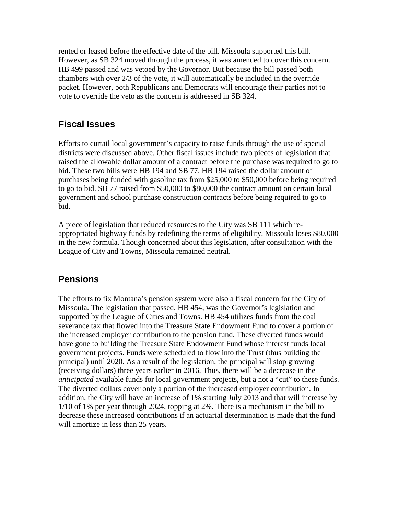rented or leased before the effective date of the bill. Missoula supported this bill. However, as SB 324 moved through the process, it was amended to cover this concern. HB 499 passed and was vetoed by the Governor. But because the bill passed both chambers with over 2/3 of the vote, it will automatically be included in the override packet. However, both Republicans and Democrats will encourage their parties not to vote to override the veto as the concern is addressed in SB 324.

## **Fiscal Issues**

Efforts to curtail local government's capacity to raise funds through the use of special districts were discussed above. Other fiscal issues include two pieces of legislation that raised the allowable dollar amount of a contract before the purchase was required to go to bid. These two bills were HB 194 and SB 77. HB 194 raised the dollar amount of purchases being funded with gasoline tax from \$25,000 to \$50,000 before being required to go to bid. SB 77 raised from \$50,000 to \$80,000 the contract amount on certain local government and school purchase construction contracts before being required to go to bid.

A piece of legislation that reduced resources to the City was SB 111 which reappropriated highway funds by redefining the terms of eligibility. Missoula loses \$80,000 in the new formula. Though concerned about this legislation, after consultation with the League of City and Towns, Missoula remained neutral.

#### **Pensions**

The efforts to fix Montana's pension system were also a fiscal concern for the City of Missoula. The legislation that passed, HB 454, was the Governor's legislation and supported by the League of Cities and Towns. HB 454 utilizes funds from the coal severance tax that flowed into the Treasure State Endowment Fund to cover a portion of the increased employer contribution to the pension fund. These diverted funds would have gone to building the Treasure State Endowment Fund whose interest funds local government projects. Funds were scheduled to flow into the Trust (thus building the principal) until 2020. As a result of the legislation, the principal will stop growing (receiving dollars) three years earlier in 2016. Thus, there will be a decrease in the *anticipated* available funds for local government projects, but a not a "cut" to these funds. The diverted dollars cover only a portion of the increased employer contribution. In addition, the City will have an increase of 1% starting July 2013 and that will increase by 1/10 of 1% per year through 2024, topping at 2%. There is a mechanism in the bill to decrease these increased contributions if an actuarial determination is made that the fund will amortize in less than 25 years.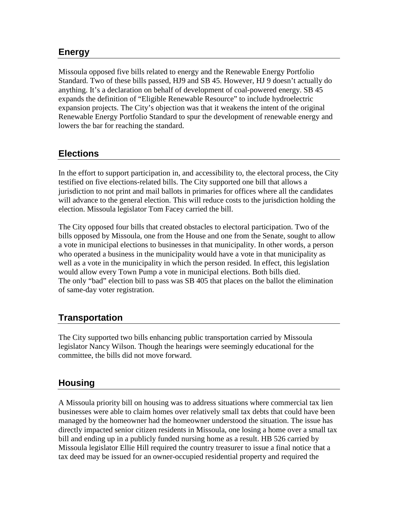### **Energy**

Missoula opposed five bills related to energy and the Renewable Energy Portfolio Standard. Two of these bills passed, HJ9 and SB 45. However, HJ 9 doesn't actually do anything. It's a declaration on behalf of development of coal-powered energy. SB 45 expands the definition of "Eligible Renewable Resource" to include hydroelectric expansion projects. The City's objection was that it weakens the intent of the original Renewable Energy Portfolio Standard to spur the development of renewable energy and lowers the bar for reaching the standard.

## **Elections**

In the effort to support participation in, and accessibility to, the electoral process, the City testified on five elections-related bills. The City supported one bill that allows a jurisdiction to not print and mail ballots in primaries for offices where all the candidates will advance to the general election. This will reduce costs to the jurisdiction holding the election. Missoula legislator Tom Facey carried the bill.

The City opposed four bills that created obstacles to electoral participation. Two of the bills opposed by Missoula, one from the House and one from the Senate, sought to allow a vote in municipal elections to businesses in that municipality. In other words, a person who operated a business in the municipality would have a vote in that municipality as well as a vote in the municipality in which the person resided. In effect, this legislation would allow every Town Pump a vote in municipal elections. Both bills died. The only "bad" election bill to pass was SB 405 that places on the ballot the elimination of same-day voter registration.

## **Transportation**

The City supported two bills enhancing public transportation carried by Missoula legislator Nancy Wilson. Though the hearings were seemingly educational for the committee, the bills did not move forward.

#### **Housing**

A Missoula priority bill on housing was to address situations where commercial tax lien businesses were able to claim homes over relatively small tax debts that could have been managed by the homeowner had the homeowner understood the situation. The issue has directly impacted senior citizen residents in Missoula, one losing a home over a small tax bill and ending up in a publicly funded nursing home as a result. HB 526 carried by Missoula legislator Ellie Hill required the country treasurer to issue a final notice that a tax deed may be issued for an owner-occupied residential property and required the